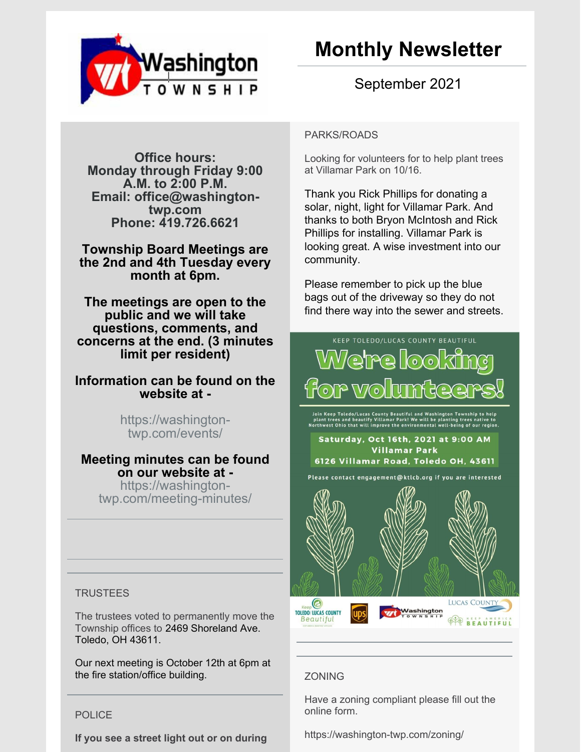

# September 2021

**Office hours: Monday through Friday 9:00 A.M. to 2:00 P.M. Email: office@washingtontwp.com Phone: 419.726.6621**

**Township Board Meetings are the 2nd and 4th Tuesday every month at 6pm.**

**The meetings are open to the public and we will take questions, comments, and concerns at the end. (3 minutes limit per resident)**

## **Information can be found on the website at -**

https://washingtontwp.com/events/

# **Meeting minutes can be found on our website at -**

https://washingtontwp.com/meeting-minutes/

## **TRUSTEES**

The trustees voted to permanently move the Township offices to 2469 Shoreland Ave. Toledo, OH 43611.

Our next meeting is October 12th at 6pm at the fire station/office building.

## POLICE

**If you see a street light out or on during**

#### PARKS/ROADS

Looking for volunteers for to help plant trees at Villamar Park on 10/16.

Thank you Rick Phillips for donating a solar, night, light for Villamar Park. And thanks to both Bryon McIntosh and Rick Phillips for installing. Villamar Park is looking great. A wise investment into our community.

Please remember to pick up the blue bags out of the driveway so they do not find there way into the sewer and streets.



## ZONING

Have a zoning compliant please fill out the online form.

https://washington-twp.com/zoning/